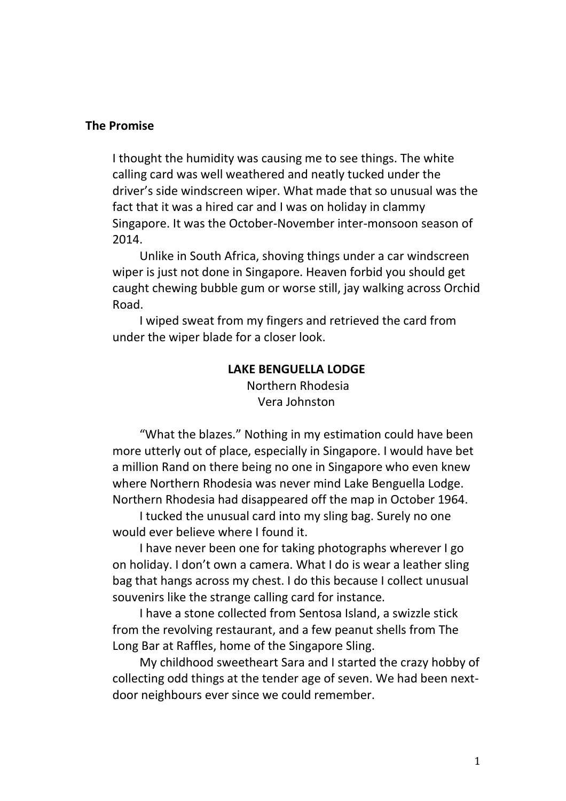## **The Promise**

I thought the humidity was causing me to see things. The white calling card was well weathered and neatly tucked under the driver's side windscreen wiper. What made that so unusual was the fact that it was a hired car and I was on holiday in clammy Singapore. It was the October-November inter-monsoon season of 2014.

Unlike in South Africa, shoving things under a car windscreen wiper is just not done in Singapore. Heaven forbid you should get caught chewing bubble gum or worse still, jay walking across Orchid Road.

I wiped sweat from my fingers and retrieved the card from under the wiper blade for a closer look.

## **LAKE BENGUELLA LODGE**

Northern Rhodesia Vera Johnston

"What the blazes." Nothing in my estimation could have been more utterly out of place, especially in Singapore. I would have bet a million Rand on there being no one in Singapore who even knew where Northern Rhodesia was never mind Lake Benguella Lodge. Northern Rhodesia had disappeared off the map in October 1964.

I tucked the unusual card into my sling bag. Surely no one would ever believe where I found it.

I have never been one for taking photographs wherever I go on holiday. I don't own a camera. What I do is wear a leather sling bag that hangs across my chest. I do this because I collect unusual souvenirs like the strange calling card for instance.

I have a stone collected from Sentosa Island, a swizzle stick from the revolving restaurant, and a few peanut shells from The Long Bar at Raffles, home of the Singapore Sling.

My childhood sweetheart Sara and I started the crazy hobby of collecting odd things at the tender age of seven. We had been nextdoor neighbours ever since we could remember.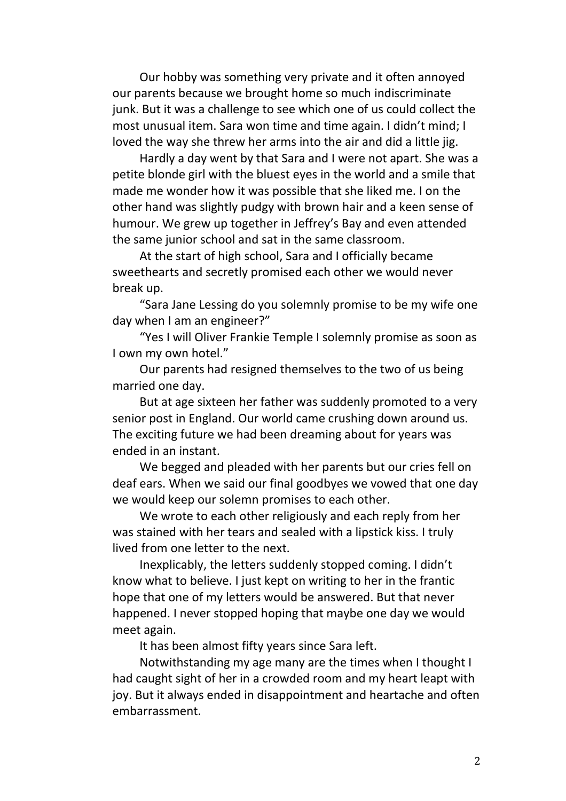Our hobby was something very private and it often annoyed our parents because we brought home so much indiscriminate junk. But it was a challenge to see which one of us could collect the most unusual item. Sara won time and time again. I didn't mind; I loved the way she threw her arms into the air and did a little jig.

Hardly a day went by that Sara and I were not apart. She was a petite blonde girl with the bluest eyes in the world and a smile that made me wonder how it was possible that she liked me. I on the other hand was slightly pudgy with brown hair and a keen sense of humour. We grew up together in Jeffrey's Bay and even attended the same junior school and sat in the same classroom.

At the start of high school, Sara and I officially became sweethearts and secretly promised each other we would never break up.

"Sara Jane Lessing do you solemnly promise to be my wife one day when I am an engineer?"

"Yes I will Oliver Frankie Temple I solemnly promise as soon as I own my own hotel."

Our parents had resigned themselves to the two of us being married one day.

But at age sixteen her father was suddenly promoted to a very senior post in England. Our world came crushing down around us. The exciting future we had been dreaming about for years was ended in an instant.

We begged and pleaded with her parents but our cries fell on deaf ears. When we said our final goodbyes we vowed that one day we would keep our solemn promises to each other.

We wrote to each other religiously and each reply from her was stained with her tears and sealed with a lipstick kiss. I truly lived from one letter to the next.

Inexplicably, the letters suddenly stopped coming. I didn't know what to believe. I just kept on writing to her in the frantic hope that one of my letters would be answered. But that never happened. I never stopped hoping that maybe one day we would meet again.

It has been almost fifty years since Sara left.

Notwithstanding my age many are the times when I thought I had caught sight of her in a crowded room and my heart leapt with joy. But it always ended in disappointment and heartache and often embarrassment.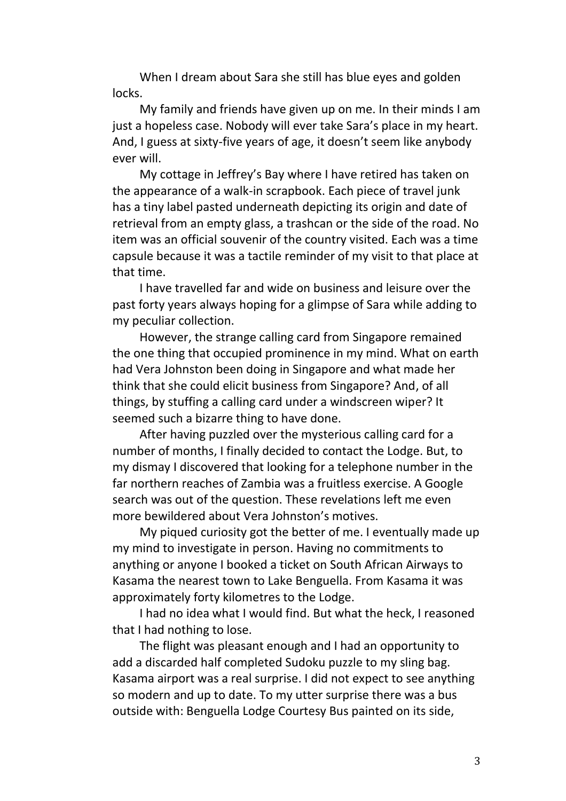When I dream about Sara she still has blue eyes and golden locks.

My family and friends have given up on me. In their minds I am just a hopeless case. Nobody will ever take Sara's place in my heart. And, I guess at sixty-five years of age, it doesn't seem like anybody ever will.

My cottage in Jeffrey's Bay where I have retired has taken on the appearance of a walk-in scrapbook. Each piece of travel junk has a tiny label pasted underneath depicting its origin and date of retrieval from an empty glass, a trashcan or the side of the road. No item was an official souvenir of the country visited. Each was a time capsule because it was a tactile reminder of my visit to that place at that time.

I have travelled far and wide on business and leisure over the past forty years always hoping for a glimpse of Sara while adding to my peculiar collection.

However, the strange calling card from Singapore remained the one thing that occupied prominence in my mind. What on earth had Vera Johnston been doing in Singapore and what made her think that she could elicit business from Singapore? And, of all things, by stuffing a calling card under a windscreen wiper? It seemed such a bizarre thing to have done.

After having puzzled over the mysterious calling card for a number of months, I finally decided to contact the Lodge. But, to my dismay I discovered that looking for a telephone number in the far northern reaches of Zambia was a fruitless exercise. A Google search was out of the question. These revelations left me even more bewildered about Vera Johnston's motives.

My piqued curiosity got the better of me. I eventually made up my mind to investigate in person. Having no commitments to anything or anyone I booked a ticket on South African Airways to Kasama the nearest town to Lake Benguella. From Kasama it was approximately forty kilometres to the Lodge.

I had no idea what I would find. But what the heck, I reasoned that I had nothing to lose.

The flight was pleasant enough and I had an opportunity to add a discarded half completed Sudoku puzzle to my sling bag. Kasama airport was a real surprise. I did not expect to see anything so modern and up to date. To my utter surprise there was a bus outside with: Benguella Lodge Courtesy Bus painted on its side,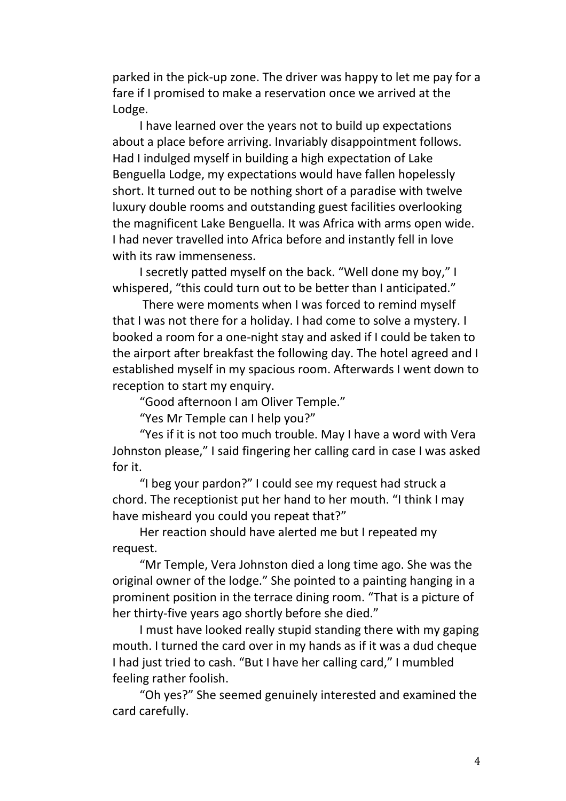parked in the pick-up zone. The driver was happy to let me pay for a fare if I promised to make a reservation once we arrived at the Lodge.

I have learned over the years not to build up expectations about a place before arriving. Invariably disappointment follows. Had I indulged myself in building a high expectation of Lake Benguella Lodge, my expectations would have fallen hopelessly short. It turned out to be nothing short of a paradise with twelve luxury double rooms and outstanding guest facilities overlooking the magnificent Lake Benguella. It was Africa with arms open wide. I had never travelled into Africa before and instantly fell in love with its raw immenseness.

I secretly patted myself on the back. "Well done my boy," I whispered, "this could turn out to be better than I anticipated."

There were moments when I was forced to remind myself that I was not there for a holiday. I had come to solve a mystery. I booked a room for a one-night stay and asked if I could be taken to the airport after breakfast the following day. The hotel agreed and I established myself in my spacious room. Afterwards I went down to reception to start my enquiry.

"Good afternoon I am Oliver Temple."

"Yes Mr Temple can I help you?"

"Yes if it is not too much trouble. May I have a word with Vera Johnston please," I said fingering her calling card in case I was asked for it.

"I beg your pardon?" I could see my request had struck a chord. The receptionist put her hand to her mouth. "I think I may have misheard you could you repeat that?"

Her reaction should have alerted me but I repeated my request.

"Mr Temple, Vera Johnston died a long time ago. She was the original owner of the lodge." She pointed to a painting hanging in a prominent position in the terrace dining room. "That is a picture of her thirty-five years ago shortly before she died."

I must have looked really stupid standing there with my gaping mouth. I turned the card over in my hands as if it was a dud cheque I had just tried to cash. "But I have her calling card," I mumbled feeling rather foolish.

"Oh yes?" She seemed genuinely interested and examined the card carefully.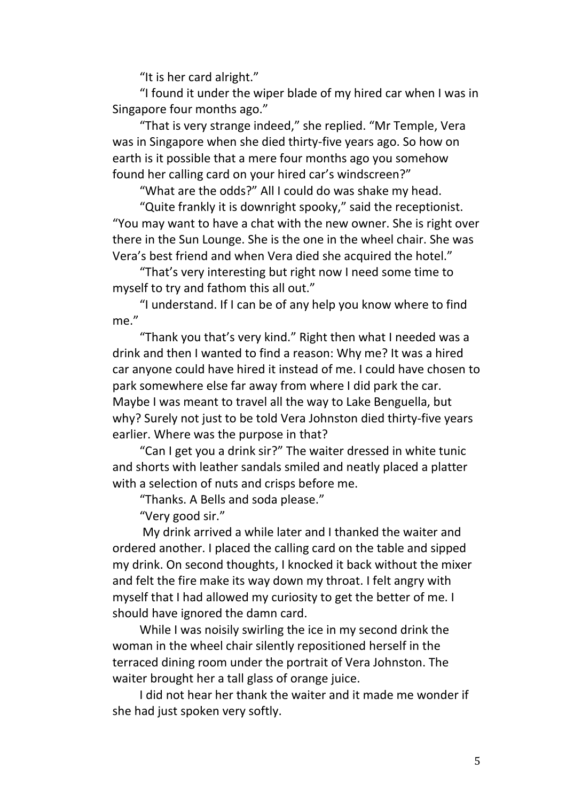"It is her card alright."

"I found it under the wiper blade of my hired car when I was in Singapore four months ago."

"That is very strange indeed," she replied. "Mr Temple, Vera was in Singapore when she died thirty-five years ago. So how on earth is it possible that a mere four months ago you somehow found her calling card on your hired car's windscreen?"

"What are the odds?" All I could do was shake my head.

"Quite frankly it is downright spooky," said the receptionist. "You may want to have a chat with the new owner. She is right over there in the Sun Lounge. She is the one in the wheel chair. She was Vera's best friend and when Vera died she acquired the hotel."

"That's very interesting but right now I need some time to myself to try and fathom this all out."

"I understand. If I can be of any help you know where to find me."

"Thank you that's very kind." Right then what I needed was a drink and then I wanted to find a reason: Why me? It was a hired car anyone could have hired it instead of me. I could have chosen to park somewhere else far away from where I did park the car. Maybe I was meant to travel all the way to Lake Benguella, but why? Surely not just to be told Vera Johnston died thirty-five years earlier. Where was the purpose in that?

"Can I get you a drink sir?" The waiter dressed in white tunic and shorts with leather sandals smiled and neatly placed a platter with a selection of nuts and crisps before me.

"Thanks. A Bells and soda please."

"Very good sir."

My drink arrived a while later and I thanked the waiter and ordered another. I placed the calling card on the table and sipped my drink. On second thoughts, I knocked it back without the mixer and felt the fire make its way down my throat. I felt angry with myself that I had allowed my curiosity to get the better of me. I should have ignored the damn card.

While I was noisily swirling the ice in my second drink the woman in the wheel chair silently repositioned herself in the terraced dining room under the portrait of Vera Johnston. The waiter brought her a tall glass of orange juice.

I did not hear her thank the waiter and it made me wonder if she had just spoken very softly.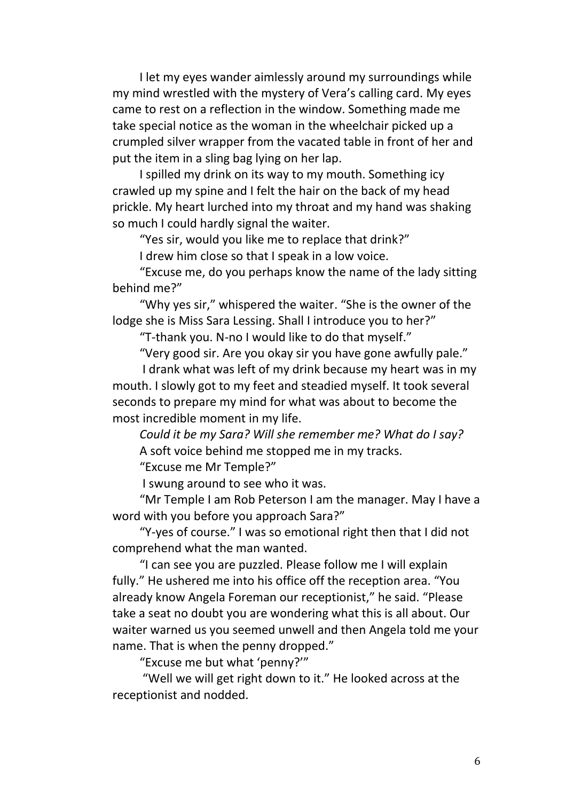I let my eyes wander aimlessly around my surroundings while my mind wrestled with the mystery of Vera's calling card. My eyes came to rest on a reflection in the window. Something made me take special notice as the woman in the wheelchair picked up a crumpled silver wrapper from the vacated table in front of her and put the item in a sling bag lying on her lap.

I spilled my drink on its way to my mouth. Something icy crawled up my spine and I felt the hair on the back of my head prickle. My heart lurched into my throat and my hand was shaking so much I could hardly signal the waiter.

"Yes sir, would you like me to replace that drink?"

I drew him close so that I speak in a low voice.

"Excuse me, do you perhaps know the name of the lady sitting behind me?"

"Why yes sir," whispered the waiter. "She is the owner of the lodge she is Miss Sara Lessing. Shall I introduce you to her?"

"T-thank you. N-no I would like to do that myself."

"Very good sir. Are you okay sir you have gone awfully pale." I drank what was left of my drink because my heart was in my mouth. I slowly got to my feet and steadied myself. It took several seconds to prepare my mind for what was about to become the most incredible moment in my life.

*Could it be my Sara? Will she remember me? What do I say?* A soft voice behind me stopped me in my tracks.

"Excuse me Mr Temple?"

I swung around to see who it was.

"Mr Temple I am Rob Peterson I am the manager. May I have a word with you before you approach Sara?"

"Y-yes of course." I was so emotional right then that I did not comprehend what the man wanted.

"I can see you are puzzled. Please follow me I will explain fully." He ushered me into his office off the reception area. "You already know Angela Foreman our receptionist," he said. "Please take a seat no doubt you are wondering what this is all about. Our waiter warned us you seemed unwell and then Angela told me your name. That is when the penny dropped."

"Excuse me but what 'penny?'"

"Well we will get right down to it." He looked across at the receptionist and nodded.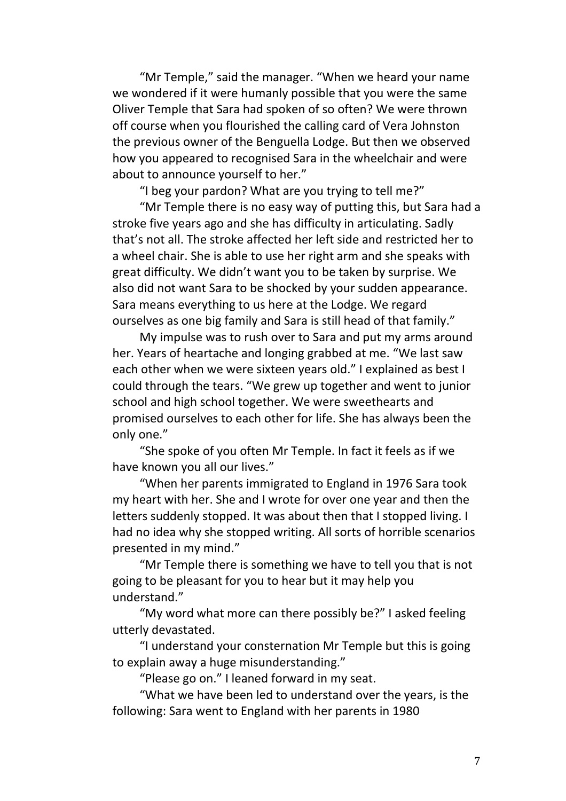"Mr Temple," said the manager. "When we heard your name we wondered if it were humanly possible that you were the same Oliver Temple that Sara had spoken of so often? We were thrown off course when you flourished the calling card of Vera Johnston the previous owner of the Benguella Lodge. But then we observed how you appeared to recognised Sara in the wheelchair and were about to announce yourself to her."

"I beg your pardon? What are you trying to tell me?"

"Mr Temple there is no easy way of putting this, but Sara had a stroke five years ago and she has difficulty in articulating. Sadly that's not all. The stroke affected her left side and restricted her to a wheel chair. She is able to use her right arm and she speaks with great difficulty. We didn't want you to be taken by surprise. We also did not want Sara to be shocked by your sudden appearance. Sara means everything to us here at the Lodge. We regard ourselves as one big family and Sara is still head of that family."

My impulse was to rush over to Sara and put my arms around her. Years of heartache and longing grabbed at me. "We last saw each other when we were sixteen years old." I explained as best I could through the tears. "We grew up together and went to junior school and high school together. We were sweethearts and promised ourselves to each other for life. She has always been the only one."

"She spoke of you often Mr Temple. In fact it feels as if we have known you all our lives."

"When her parents immigrated to England in 1976 Sara took my heart with her. She and I wrote for over one year and then the letters suddenly stopped. It was about then that I stopped living. I had no idea why she stopped writing. All sorts of horrible scenarios presented in my mind."

"Mr Temple there is something we have to tell you that is not going to be pleasant for you to hear but it may help you understand."

"My word what more can there possibly be?" I asked feeling utterly devastated.

"I understand your consternation Mr Temple but this is going to explain away a huge misunderstanding."

"Please go on." I leaned forward in my seat.

"What we have been led to understand over the years, is the following: Sara went to England with her parents in 1980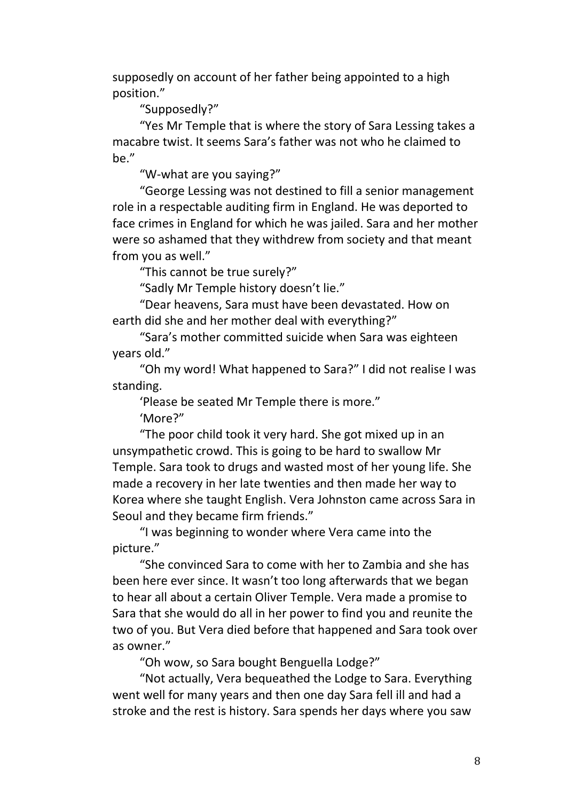supposedly on account of her father being appointed to a high position."

"Supposedly?"

"Yes Mr Temple that is where the story of Sara Lessing takes a macabre twist. It seems Sara's father was not who he claimed to be."

"W-what are you saying?"

"George Lessing was not destined to fill a senior management role in a respectable auditing firm in England. He was deported to face crimes in England for which he was jailed. Sara and her mother were so ashamed that they withdrew from society and that meant from you as well."

"This cannot be true surely?"

"Sadly Mr Temple history doesn't lie."

"Dear heavens, Sara must have been devastated. How on earth did she and her mother deal with everything?"

"Sara's mother committed suicide when Sara was eighteen years old."

"Oh my word! What happened to Sara?" I did not realise I was standing.

'Please be seated Mr Temple there is more."

'More?"

"The poor child took it very hard. She got mixed up in an unsympathetic crowd. This is going to be hard to swallow Mr Temple. Sara took to drugs and wasted most of her young life. She made a recovery in her late twenties and then made her way to Korea where she taught English. Vera Johnston came across Sara in Seoul and they became firm friends."

"I was beginning to wonder where Vera came into the picture."

"She convinced Sara to come with her to Zambia and she has been here ever since. It wasn't too long afterwards that we began to hear all about a certain Oliver Temple. Vera made a promise to Sara that she would do all in her power to find you and reunite the two of you. But Vera died before that happened and Sara took over as owner."

"Oh wow, so Sara bought Benguella Lodge?"

"Not actually, Vera bequeathed the Lodge to Sara. Everything went well for many years and then one day Sara fell ill and had a stroke and the rest is history. Sara spends her days where you saw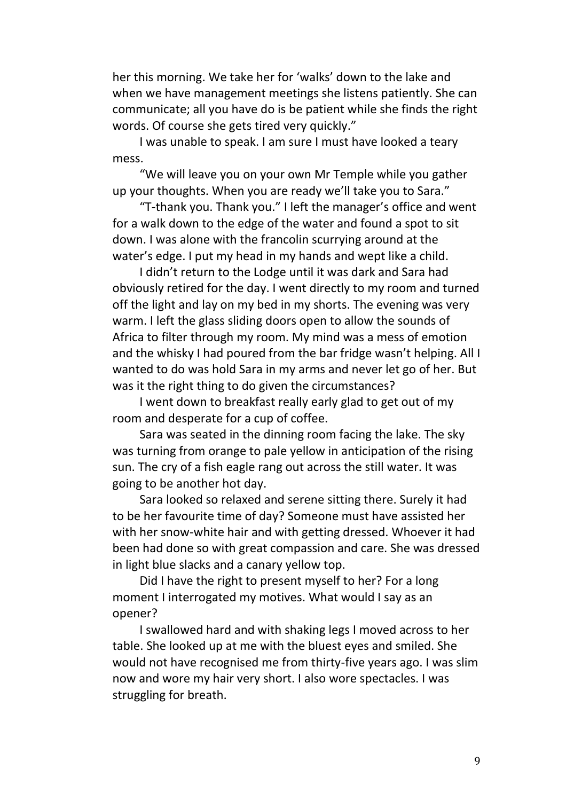her this morning. We take her for 'walks' down to the lake and when we have management meetings she listens patiently. She can communicate; all you have do is be patient while she finds the right words. Of course she gets tired very quickly."

I was unable to speak. I am sure I must have looked a teary mess.

"We will leave you on your own Mr Temple while you gather up your thoughts. When you are ready we'll take you to Sara."

"T-thank you. Thank you." I left the manager's office and went for a walk down to the edge of the water and found a spot to sit down. I was alone with the francolin scurrying around at the water's edge. I put my head in my hands and wept like a child.

I didn't return to the Lodge until it was dark and Sara had obviously retired for the day. I went directly to my room and turned off the light and lay on my bed in my shorts. The evening was very warm. I left the glass sliding doors open to allow the sounds of Africa to filter through my room. My mind was a mess of emotion and the whisky I had poured from the bar fridge wasn't helping. All I wanted to do was hold Sara in my arms and never let go of her. But was it the right thing to do given the circumstances?

I went down to breakfast really early glad to get out of my room and desperate for a cup of coffee.

Sara was seated in the dinning room facing the lake. The sky was turning from orange to pale yellow in anticipation of the rising sun. The cry of a fish eagle rang out across the still water. It was going to be another hot day.

Sara looked so relaxed and serene sitting there. Surely it had to be her favourite time of day? Someone must have assisted her with her snow-white hair and with getting dressed. Whoever it had been had done so with great compassion and care. She was dressed in light blue slacks and a canary yellow top.

Did I have the right to present myself to her? For a long moment I interrogated my motives. What would I say as an opener?

I swallowed hard and with shaking legs I moved across to her table. She looked up at me with the bluest eyes and smiled. She would not have recognised me from thirty-five years ago. I was slim now and wore my hair very short. I also wore spectacles. I was struggling for breath.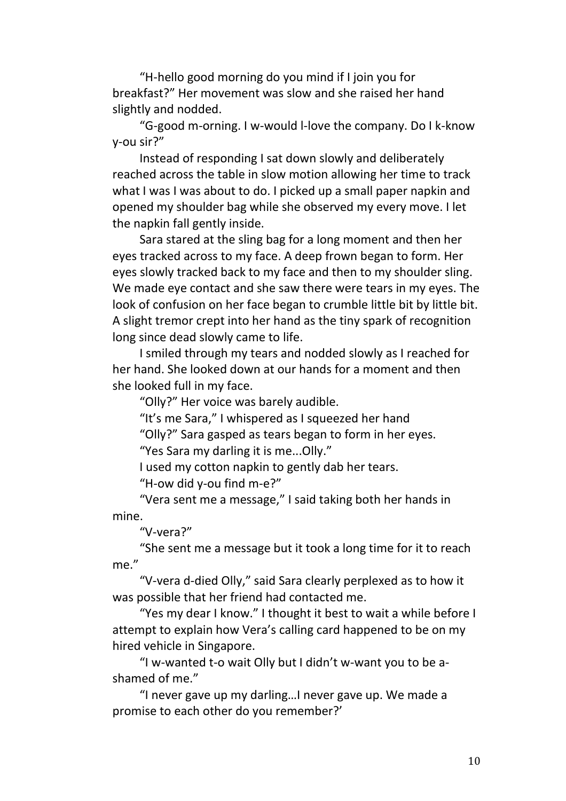"H-hello good morning do you mind if I join you for breakfast?" Her movement was slow and she raised her hand slightly and nodded.

"G-good m-orning. I w-would l-love the company. Do I k-know y-ou sir?"

Instead of responding I sat down slowly and deliberately reached across the table in slow motion allowing her time to track what I was I was about to do. I picked up a small paper napkin and opened my shoulder bag while she observed my every move. I let the napkin fall gently inside.

Sara stared at the sling bag for a long moment and then her eyes tracked across to my face. A deep frown began to form. Her eyes slowly tracked back to my face and then to my shoulder sling. We made eye contact and she saw there were tears in my eyes. The look of confusion on her face began to crumble little bit by little bit. A slight tremor crept into her hand as the tiny spark of recognition long since dead slowly came to life.

I smiled through my tears and nodded slowly as I reached for her hand. She looked down at our hands for a moment and then she looked full in my face.

"Olly?" Her voice was barely audible.

"It's me Sara," I whispered as I squeezed her hand

"Olly?" Sara gasped as tears began to form in her eyes.

"Yes Sara my darling it is me...Olly."

I used my cotton napkin to gently dab her tears.

"H-ow did y-ou find m-e?"

"Vera sent me a message," I said taking both her hands in mine.

"V-vera?"

"She sent me a message but it took a long time for it to reach me."

"V-vera d-died Olly," said Sara clearly perplexed as to how it was possible that her friend had contacted me.

"Yes my dear I know." I thought it best to wait a while before I attempt to explain how Vera's calling card happened to be on my hired vehicle in Singapore.

"I w-wanted t-o wait Olly but I didn't w-want you to be ashamed of me."

"I never gave up my darling…I never gave up. We made a promise to each other do you remember?'